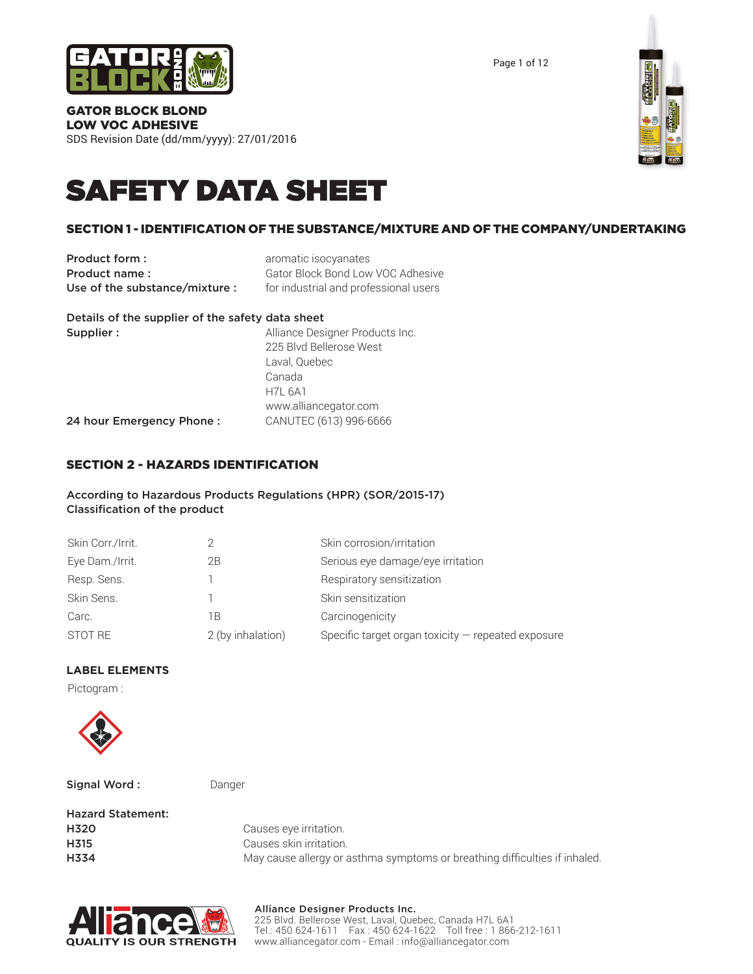

Page 1 of 12

#### GATOR BLOCK BLOND LOW VOC ADHESIVE

SDS Revision Date (dd/mm/yyyy): 27/01/2016



# SAFETY DATA SHEET

# SECTION 1 - IDENTIFICATION OF THE SUBSTANCE/MIXTURE AND OF THE COMPANY/UNDERTAKING

**Product form :** aromatic isocyanates Use of the substance/mixture : for industrial and professional users

**Product name:** Gator Block Bond Low VOC Adhesive

| Details of the supplier of the safety data sheet |                                 |
|--------------------------------------------------|---------------------------------|
| Supplier:                                        | Alliance Designer Products Inc. |
|                                                  | 225 Blvd Bellerose West         |
|                                                  | Laval, Quebec                   |
|                                                  | Canada                          |
|                                                  | <b>H7L 6A1</b>                  |
|                                                  | www.alliancegator.com           |
| 24 hour Emergency Phone:                         | CANUTEC (613) 996-6666          |

# SECTION 2 - HAZARDS IDENTIFICATION

#### According to Hazardous Products Regulations (HPR) (SOR/2015-17) Classification of the product

| Skin Corr./Irrit. |                   | Skin corrosion/irritation                            |
|-------------------|-------------------|------------------------------------------------------|
| Eye Dam./Irrit.   | 2B                | Serious eye damage/eye irritation                    |
| Resp. Sens.       |                   | Respiratory sensitization                            |
| Skin Sens.        |                   | Skin sensitization                                   |
| Carc.             | 1Β                | Carcinogenicity                                      |
| STOT RE           | 2 (by inhalation) | Specific target organ toxicity $-$ repeated exposure |

# **LABEL ELEMENTS**

Pictogram :



Signal Word : Danger

| Causes eye irritation.                                                     |
|----------------------------------------------------------------------------|
| Causes skin irritation.                                                    |
| May cause allergy or asthma symptoms or breathing difficulties if inhaled. |
|                                                                            |



#### Alliance Designer Products Inc. 225 Blvd. Bellerose West, Laval, Quebec, Canada H7L 6A1 Tel.: 450 624-1611 Fax : 450 624-1622 Toll free : 1 866-212-1611 www.alliancegator.com - Email : info@alliancegator.com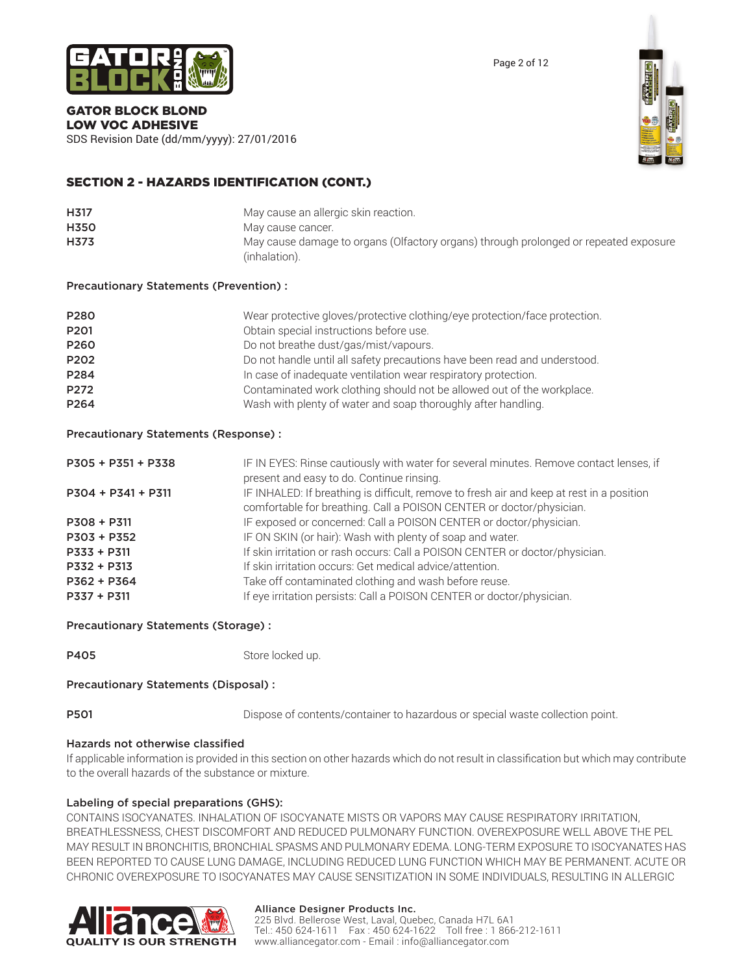

# GATOR BLOCK BLOND

LOW VOC ADHESIVE SDS Revision Date (dd/mm/yyyy): 27/01/2016



# SECTION 2 - HAZARDS IDENTIFICATION (CONT.)

| H317        | May cause an allergic skin reaction.                                                                  |
|-------------|-------------------------------------------------------------------------------------------------------|
| <b>H350</b> | May cause cancer.                                                                                     |
| H373        | May cause damage to organs (Olfactory organs) through prolonged or repeated exposure<br>(inhalation). |

#### Precautionary Statements (Prevention) :

| P280<br>P <sub>201</sub> | Wear protective gloves/protective clothing/eye protection/face protection.<br>Obtain special instructions before use. |
|--------------------------|-----------------------------------------------------------------------------------------------------------------------|
| P260                     | Do not breathe dust/gas/mist/vapours.                                                                                 |
| P202                     | Do not handle until all safety precautions have been read and understood.                                             |
| P284                     | In case of inadequate ventilation wear respiratory protection.                                                        |
| P272                     | Contaminated work clothing should not be allowed out of the workplace.                                                |
| P <sub>264</sub>         | Wash with plenty of water and soap thoroughly after handling.                                                         |

#### Precautionary Statements (Response) :

| P305 + P351 + P338   | IF IN EYES: Rinse cautiously with water for several minutes. Remove contact lenses, if<br>present and easy to do. Continue rinsing. |
|----------------------|-------------------------------------------------------------------------------------------------------------------------------------|
|                      |                                                                                                                                     |
| $P304 + P341 + P311$ | IF INHALED: If breathing is difficult, remove to fresh air and keep at rest in a position                                           |
|                      | comfortable for breathing. Call a POISON CENTER or doctor/physician.                                                                |
| $P308 + P311$        | IF exposed or concerned: Call a POISON CENTER or doctor/physician.                                                                  |
| P303 + P352          | IF ON SKIN (or hair): Wash with plenty of soap and water.                                                                           |
| $P333 + P311$        | If skin irritation or rash occurs: Call a POISON CENTER or doctor/physician.                                                        |
| P332 + P313          | If skin irritation occurs: Get medical advice/attention.                                                                            |
| $P362 + P364$        | Take off contaminated clothing and wash before reuse.                                                                               |
| $P337 + P311$        | If eye irritation persists: Call a POISON CENTER or doctor/physician.                                                               |

#### Precautionary Statements (Storage) :

| P405 | Store locked up. |
|------|------------------|
|      |                  |

# Precautionary Statements (Disposal) :

**P501** Dispose of contents/container to hazardous or special waste collection point.

# Hazards not otherwise classified

If applicable information is provided in this section on other hazards which do not result in classification but which may contribute to the overall hazards of the substance or mixture.

#### Labeling of special preparations (GHS):

CONTAINS ISOCYANATES. INHALATION OF ISOCYANATE MISTS OR VAPORS MAY CAUSE RESPIRATORY IRRITATION, BREATHLESSNESS, CHEST DISCOMFORT AND REDUCED PULMONARY FUNCTION. OVEREXPOSURE WELL ABOVE THE PEL MAY RESULT IN BRONCHITIS, BRONCHIAL SPASMS AND PULMONARY EDEMA. LONG-TERM EXPOSURE TO ISOCYANATES HAS BEEN REPORTED TO CAUSE LUNG DAMAGE, INCLUDING REDUCED LUNG FUNCTION WHICH MAY BE PERMANENT. ACUTE OR CHRONIC OVEREXPOSURE TO ISOCYANATES MAY CAUSE SENSITIZATION IN SOME INDIVIDUALS, RESULTING IN ALLERGIC



#### Alliance Designer Products Inc.

225 Blvd. Bellerose West, Laval, Quebec, Canada H7L 6A1 Tel.: 450 624-1611 Fax : 450 624-1622 Toll free : 1 866-212-1611 www.alliancegator.com - Email : info@alliancegator.com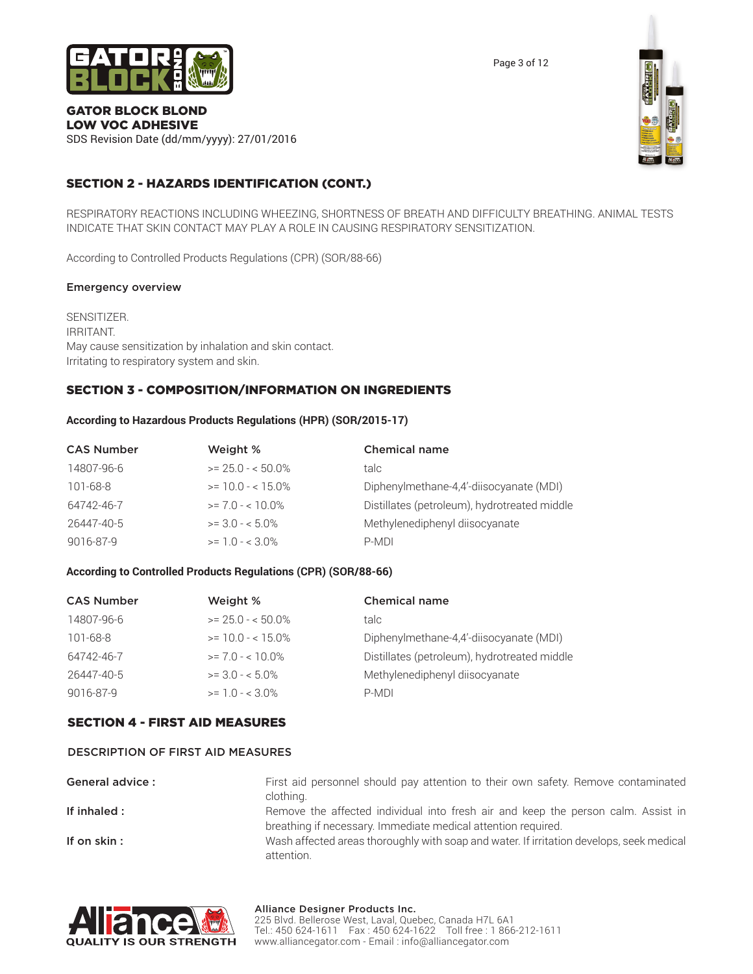

Page 3 of 12

#### GATOR BLOCK BLOND LOW VOC ADHESIVE

SDS Revision Date (dd/mm/yyyy): 27/01/2016



# SECTION 2 - HAZARDS IDENTIFICATION (CONT.)

RESPIRATORY REACTIONS INCLUDING WHEEZING, SHORTNESS OF BREATH AND DIFFICULTY BREATHING. ANIMAL TESTS INDICATE THAT SKIN CONTACT MAY PLAY A ROLE IN CAUSING RESPIRATORY SENSITIZATION.

According to Controlled Products Regulations (CPR) (SOR/88-66)

#### Emergency overview

SENSITIZER. IRRITANT. May cause sensitization by inhalation and skin contact. Irritating to respiratory system and skin.

# SECTION 3 - COMPOSITION/INFORMATION ON INGREDIENTS

#### **According to Hazardous Products Regulations (HPR) (SOR/2015-17)**

| <b>CAS Number</b> | Weight %           | <b>Chemical name</b>                         |
|-------------------|--------------------|----------------------------------------------|
| 14807-96-6        | $>= 25.0 - 50.0\%$ | talc                                         |
| 101-68-8          | $>= 10.0 - 15.0\%$ | Diphenylmethane-4,4'-diisocyanate (MDI)      |
| 64742-46-7        | $>= 7.0 - 10.0\%$  | Distillates (petroleum), hydrotreated middle |
| 26447-40-5        | $>= 3.0 - 5.0\%$   | Methylenediphenyl diisocyanate               |
| 9016-87-9         | $>= 1.0 - < 3.0\%$ | P-MDI                                        |

#### **According to Controlled Products Regulations (CPR) (SOR/88-66)**

| <b>CAS Number</b> | Weight %           | <b>Chemical name</b>                         |
|-------------------|--------------------|----------------------------------------------|
| 14807-96-6        | $>= 25.0 - 50.0\%$ | talc                                         |
| 101-68-8          | $>= 10.0 - 15.0\%$ | Diphenylmethane-4,4'-diisocyanate (MDI)      |
| 64742-46-7        | $>= 7.0 - 10.0\%$  | Distillates (petroleum), hydrotreated middle |
| 26447-40-5        | $>= 30 - 50\%$     | Methylenediphenyl diisocyanate               |
| 9016-87-9         | $>= 1.0 - < 3.0\%$ | P-MDI                                        |

# SECTION 4 - FIRST AID MEASURES

#### DESCRIPTION OF FIRST AID MEASURES

General advice : First aid personnel should pay attention to their own safety. Remove contaminated clothing. If inhaled : Remove the affected individual into fresh air and keep the person calm. Assist in breathing if necessary. Immediate medical attention required.

If on skin: Wash affected areas thoroughly with soap and water. If irritation develops, seek medical attention.



#### Alliance Designer Products Inc. 225 Blvd. Bellerose West, Laval, Quebec, Canada H7L 6A1 Tel.: 450 624-1611 Fax : 450 624-1622 Toll free : 1 866-212-1611 www.alliancegator.com - Email : info@alliancegator.com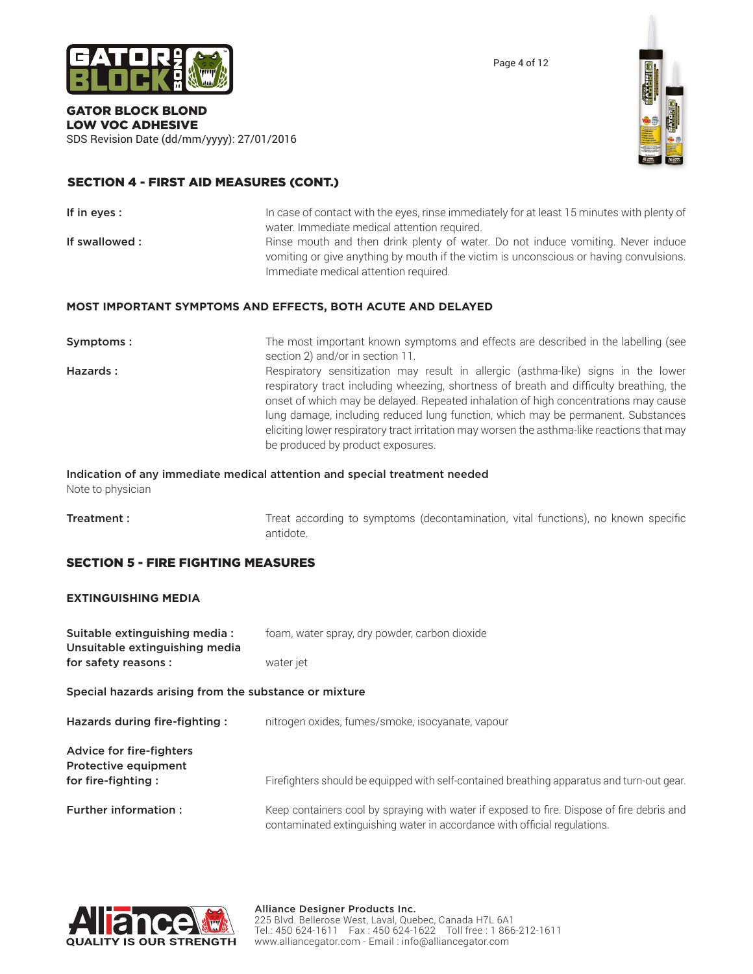

Page 4 of 12

#### GATOR BLOCK BLOND LOW VOC ADHESIVE

SDS Revision Date (dd/mm/yyyy): 27/01/2016



# SECTION 4 - FIRST AID MEASURES (CONT.)

| If in eyes:   | In case of contact with the eyes, rinse immediately for at least 15 minutes with plenty of                                                                                 |
|---------------|----------------------------------------------------------------------------------------------------------------------------------------------------------------------------|
|               | water. Immediate medical attention required.                                                                                                                               |
| If swallowed: | Rinse mouth and then drink plenty of water. Do not induce vomiting. Never induce<br>vomiting or give anything by mouth if the victim is unconscious or having convulsions. |
|               | Immediate medical attention required.                                                                                                                                      |

#### **MOST IMPORTANT SYMPTOMS AND EFFECTS, BOTH ACUTE AND DELAYED**

| Symptoms: | The most important known symptoms and effects are described in the labelling (see<br>section 2) and/or in section 11.                                                                                                                                                                                                                                                                                                                                                                      |
|-----------|--------------------------------------------------------------------------------------------------------------------------------------------------------------------------------------------------------------------------------------------------------------------------------------------------------------------------------------------------------------------------------------------------------------------------------------------------------------------------------------------|
| Hazards:  | Respiratory sensitization may result in allergic (asthma-like) signs in the lower<br>respiratory tract including wheezing, shortness of breath and difficulty breathing, the<br>onset of which may be delayed. Repeated inhalation of high concentrations may cause<br>lung damage, including reduced lung function, which may be permanent. Substances<br>eliciting lower respiratory tract irritation may worsen the asthma-like reactions that may<br>be produced by product exposures. |

# Indication of any immediate medical attention and special treatment needed

Note to physician

**Treatment :** Treat according to symptoms (decontamination, vital functions), no known specific antidote.

# SECTION 5 - FIRE FIGHTING MEASURES

#### **EXTINGUISHING MEDIA**

| Suitable extinguishing media:<br>Unsuitable extinguishing media | foam, water spray, dry powder, carbon dioxide                                                                                                                           |
|-----------------------------------------------------------------|-------------------------------------------------------------------------------------------------------------------------------------------------------------------------|
| for safety reasons :                                            | water jet                                                                                                                                                               |
| Special hazards arising from the substance or mixture           |                                                                                                                                                                         |
| Hazards during fire-fighting:                                   | nitrogen oxides, fumes/smoke, isocyanate, vapour                                                                                                                        |
| Advice for fire-fighters<br>Protective equipment                |                                                                                                                                                                         |
| for fire-fighting:                                              | Firefighters should be equipped with self-contained breathing apparatus and turn-out gear.                                                                              |
| <b>Further information:</b>                                     | Keep containers cool by spraying with water if exposed to fire. Dispose of fire debris and<br>contaminated extinguishing water in accordance with official regulations. |

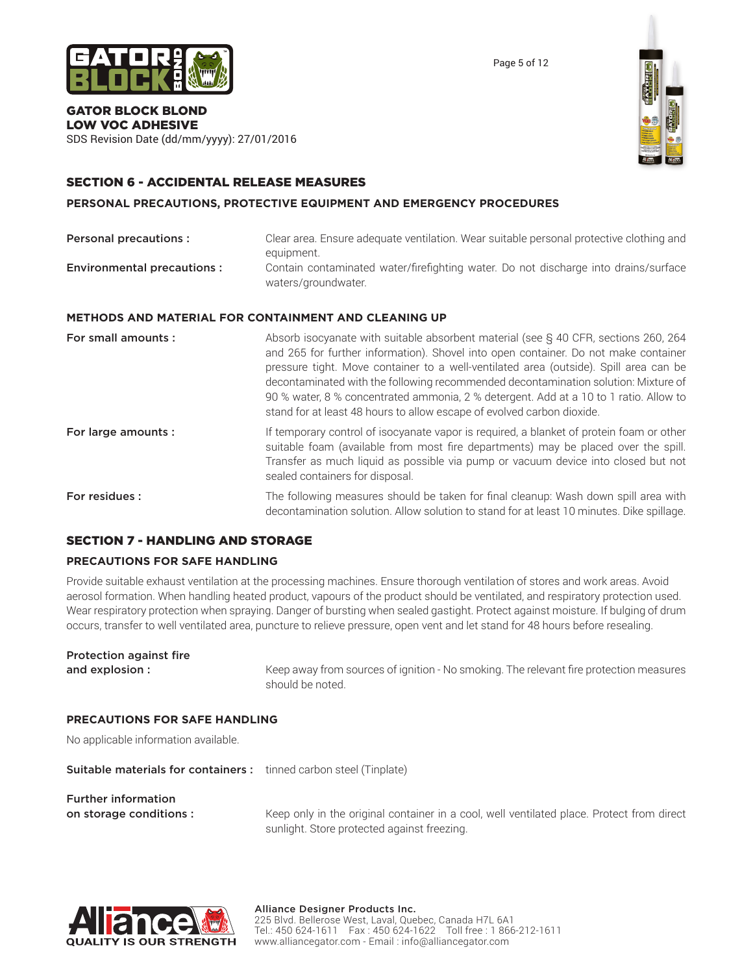

Page 5 of 12

#### GATOR BLOCK BLOND LOW VOC ADHESIVE

SDS Revision Date (dd/mm/yyyy): 27/01/2016

# SECTION 6 - ACCIDENTAL RELEASE MEASURES

**PERSONAL PRECAUTIONS, PROTECTIVE EQUIPMENT AND EMERGENCY PROCEDURES**

| <b>Personal precautions:</b>      | Clear area. Ensure adequate ventilation. Wear suitable personal protective clothing and<br>equipment.                                                                                                                                                                                                                                                                                                                                                                                                                        |  |
|-----------------------------------|------------------------------------------------------------------------------------------------------------------------------------------------------------------------------------------------------------------------------------------------------------------------------------------------------------------------------------------------------------------------------------------------------------------------------------------------------------------------------------------------------------------------------|--|
| <b>Environmental precautions:</b> | Contain contaminated water/firefighting water. Do not discharge into drains/surface<br>waters/groundwater.                                                                                                                                                                                                                                                                                                                                                                                                                   |  |
|                                   | <b>METHODS AND MATERIAL FOR CONTAINMENT AND CLEANING UP</b>                                                                                                                                                                                                                                                                                                                                                                                                                                                                  |  |
| For small amounts:                | Absorb isocyanate with suitable absorbent material (see § 40 CFR, sections 260, 264<br>and 265 for further information). Shovel into open container. Do not make container<br>pressure tight. Move container to a well-ventilated area (outside). Spill area can be<br>decontaminated with the following recommended decontamination solution: Mixture of<br>90 % water, 8 % concentrated ammonia, 2 % detergent. Add at a 10 to 1 ratio. Allow to<br>stand for at least 48 hours to allow escape of evolved carbon dioxide. |  |
| For large amounts :               | If temporary control of isocyanate vapor is required, a blanket of protein foam or other<br>suitable foam (available from most fire departments) may be placed over the spill.                                                                                                                                                                                                                                                                                                                                               |  |

**For residues :** The following measures should be taken for final cleanup: Wash down spill area with decontamination solution. Allow solution to stand for at least 10 minutes. Dike spillage.

Transfer as much liquid as possible via pump or vacuum device into closed but not

# SECTION 7 - HANDLING AND STORAGE

# **PRECAUTIONS FOR SAFE HANDLING**

Provide suitable exhaust ventilation at the processing machines. Ensure thorough ventilation of stores and work areas. Avoid aerosol formation. When handling heated product, vapours of the product should be ventilated, and respiratory protection used. Wear respiratory protection when spraying. Danger of bursting when sealed gastight. Protect against moisture. If bulging of drum occurs, transfer to well ventilated area, puncture to relieve pressure, open vent and let stand for 48 hours before resealing.

sealed containers for disposal.

| Protection against fire |                                                                                                            |
|-------------------------|------------------------------------------------------------------------------------------------------------|
| and explosion :         | Keep away from sources of ignition - No smoking. The relevant fire protection measures<br>should be noted. |

#### **PRECAUTIONS FOR SAFE HANDLING**

No applicable information available.

Suitable materials for containers : tinned carbon steel (Tinplate)

Further information

on storage conditions : Keep only in the original container in a cool, well ventilated place. Protect from direct sunlight. Store protected against freezing.



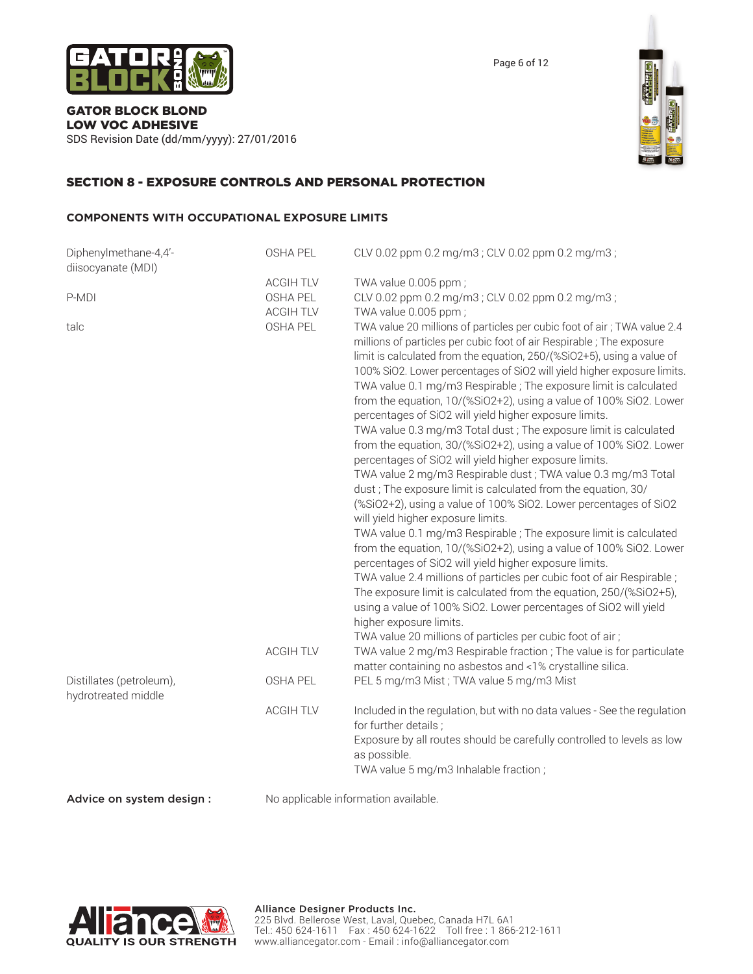

SDS Revision Date (dd/mm/yyyy): 27/01/2016



# SECTION 8 - EXPOSURE CONTROLS AND PERSONAL PROTECTION

#### **COMPONENTS WITH OCCUPATIONAL EXPOSURE LIMITS**

| Diphenylmethane-4,4'-<br>diisocyanate (MDI)     | <b>OSHA PEL</b>              | CLV 0.02 ppm 0.2 mg/m3; CLV 0.02 ppm 0.2 mg/m3;                                                                                                                                                                                                                                                                                                                                                                                                                                                                                                                                                                                                                                                                                                                                                                                                                                                                                                                                                                                                                                                                                                                                                                                                                                                                                                                                                                                                                           |
|-------------------------------------------------|------------------------------|---------------------------------------------------------------------------------------------------------------------------------------------------------------------------------------------------------------------------------------------------------------------------------------------------------------------------------------------------------------------------------------------------------------------------------------------------------------------------------------------------------------------------------------------------------------------------------------------------------------------------------------------------------------------------------------------------------------------------------------------------------------------------------------------------------------------------------------------------------------------------------------------------------------------------------------------------------------------------------------------------------------------------------------------------------------------------------------------------------------------------------------------------------------------------------------------------------------------------------------------------------------------------------------------------------------------------------------------------------------------------------------------------------------------------------------------------------------------------|
|                                                 | <b>ACGIH TLV</b>             | TWA value 0.005 ppm;                                                                                                                                                                                                                                                                                                                                                                                                                                                                                                                                                                                                                                                                                                                                                                                                                                                                                                                                                                                                                                                                                                                                                                                                                                                                                                                                                                                                                                                      |
| P-MDI                                           | OSHA PEL<br><b>ACGIH TLV</b> | CLV 0.02 ppm 0.2 mg/m3; CLV 0.02 ppm 0.2 mg/m3;<br>TWA value 0.005 ppm;                                                                                                                                                                                                                                                                                                                                                                                                                                                                                                                                                                                                                                                                                                                                                                                                                                                                                                                                                                                                                                                                                                                                                                                                                                                                                                                                                                                                   |
| talc                                            | OSHA PEL                     | TWA value 20 millions of particles per cubic foot of air; TWA value 2.4<br>millions of particles per cubic foot of air Respirable; The exposure<br>limit is calculated from the equation, 250/(%SiO2+5), using a value of<br>100% SiO2. Lower percentages of SiO2 will yield higher exposure limits.<br>TWA value 0.1 mg/m3 Respirable; The exposure limit is calculated<br>from the equation, 10/(%SiO2+2), using a value of 100% SiO2. Lower<br>percentages of SiO2 will yield higher exposure limits.<br>TWA value 0.3 mg/m3 Total dust ; The exposure limit is calculated<br>from the equation, 30/(%SiO2+2), using a value of 100% SiO2. Lower<br>percentages of SiO2 will yield higher exposure limits.<br>TWA value 2 mg/m3 Respirable dust ; TWA value 0.3 mg/m3 Total<br>dust; The exposure limit is calculated from the equation, 30/<br>(%SiO2+2), using a value of 100% SiO2. Lower percentages of SiO2<br>will yield higher exposure limits.<br>TWA value 0.1 mg/m3 Respirable ; The exposure limit is calculated<br>from the equation, 10/(%SiO2+2), using a value of 100% SiO2. Lower<br>percentages of SiO2 will yield higher exposure limits.<br>TWA value 2.4 millions of particles per cubic foot of air Respirable;<br>The exposure limit is calculated from the equation, 250/(%SiO2+5),<br>using a value of 100% SiO2. Lower percentages of SiO2 will yield<br>higher exposure limits.<br>TWA value 20 millions of particles per cubic foot of air; |
|                                                 | <b>ACGIH TLV</b>             | TWA value 2 mg/m3 Respirable fraction ; The value is for particulate<br>matter containing no asbestos and <1% crystalline silica.                                                                                                                                                                                                                                                                                                                                                                                                                                                                                                                                                                                                                                                                                                                                                                                                                                                                                                                                                                                                                                                                                                                                                                                                                                                                                                                                         |
| Distillates (petroleum),<br>hydrotreated middle | <b>OSHA PEL</b>              | PEL 5 mg/m3 Mist; TWA value 5 mg/m3 Mist                                                                                                                                                                                                                                                                                                                                                                                                                                                                                                                                                                                                                                                                                                                                                                                                                                                                                                                                                                                                                                                                                                                                                                                                                                                                                                                                                                                                                                  |
|                                                 | <b>ACGIH TLV</b>             | Included in the regulation, but with no data values - See the regulation<br>for further details;<br>Exposure by all routes should be carefully controlled to levels as low<br>as possible.<br>TWA value 5 mg/m3 Inhalable fraction;                                                                                                                                                                                                                                                                                                                                                                                                                                                                                                                                                                                                                                                                                                                                                                                                                                                                                                                                                                                                                                                                                                                                                                                                                                       |
| Advice on system design :                       |                              | No applicable information available.                                                                                                                                                                                                                                                                                                                                                                                                                                                                                                                                                                                                                                                                                                                                                                                                                                                                                                                                                                                                                                                                                                                                                                                                                                                                                                                                                                                                                                      |

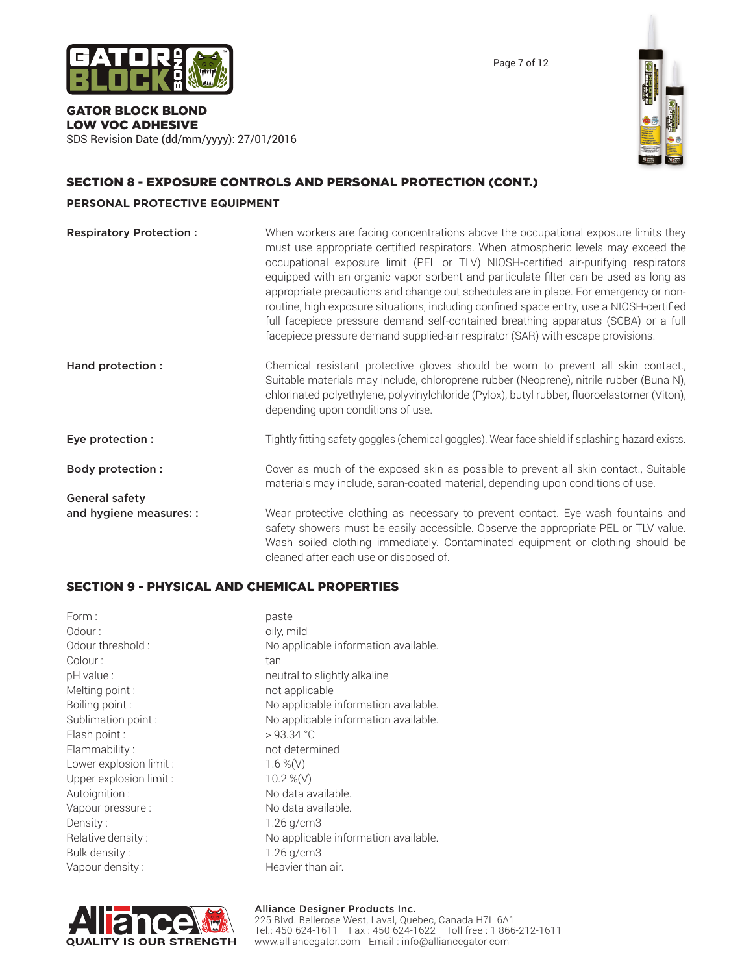

Page 7 of 12

# GATOR BLOCK BLOND LOW VOC ADHESIVE

SDS Revision Date (dd/mm/yyyy): 27/01/2016

# SECTION 8 - EXPOSURE CONTROLS AND PERSONAL PROTECTION (CONT.)

# **PERSONAL PROTECTIVE EQUIPMENT**

| <b>Respiratory Protection:</b> | When workers are facing concentrations above the occupational exposure limits they<br>must use appropriate certified respirators. When atmospheric levels may exceed the<br>occupational exposure limit (PEL or TLV) NIOSH-certified air-purifying respirators<br>equipped with an organic vapor sorbent and particulate filter can be used as long as<br>appropriate precautions and change out schedules are in place. For emergency or non-<br>routine, high exposure situations, including confined space entry, use a NIOSH-certified<br>full facepiece pressure demand self-contained breathing apparatus (SCBA) or a full<br>facepiece pressure demand supplied-air respirator (SAR) with escape provisions. |
|--------------------------------|---------------------------------------------------------------------------------------------------------------------------------------------------------------------------------------------------------------------------------------------------------------------------------------------------------------------------------------------------------------------------------------------------------------------------------------------------------------------------------------------------------------------------------------------------------------------------------------------------------------------------------------------------------------------------------------------------------------------|
| Hand protection :              | Chemical resistant protective gloves should be worn to prevent all skin contact.,<br>Suitable materials may include, chloroprene rubber (Neoprene), nitrile rubber (Buna N),<br>chlorinated polyethylene, polyvinylchloride (Pylox), butyl rubber, fluoroelastomer (Viton),<br>depending upon conditions of use.                                                                                                                                                                                                                                                                                                                                                                                                    |
| Eye protection :               | Tightly fitting safety goggles (chemical goggles). Wear face shield if splashing hazard exists.                                                                                                                                                                                                                                                                                                                                                                                                                                                                                                                                                                                                                     |
| <b>Body protection:</b>        | Cover as much of the exposed skin as possible to prevent all skin contact., Suitable<br>materials may include, saran-coated material, depending upon conditions of use.                                                                                                                                                                                                                                                                                                                                                                                                                                                                                                                                             |
| <b>General safety</b>          |                                                                                                                                                                                                                                                                                                                                                                                                                                                                                                                                                                                                                                                                                                                     |
| and hygiene measures: :        | Wear protective clothing as necessary to prevent contact. Eye wash fountains and<br>safety showers must be easily accessible. Observe the appropriate PEL or TLV value.<br>Wash soiled clothing immediately. Contaminated equipment or clothing should be<br>cleaned after each use or disposed of.                                                                                                                                                                                                                                                                                                                                                                                                                 |

# SECTION 9 - PHYSICAL AND CHEMICAL PROPERTIES

| Form:<br>Odour:<br>Odour threshold :<br>Colour:<br>pH value :<br>Melting point:<br>Boiling point:<br>Sublimation point :<br>Flash point:<br>Flammability:<br>Lower explosion limit :<br>Upper explosion limit :<br>Autoignition: | paste<br>oily, mild<br>No applicable information available.<br>tan<br>neutral to slightly alkaline<br>not applicable<br>No applicable information available.<br>No applicable information available.<br>>93.34 °C<br>not determined<br>$1.6\%$ (V)<br>10.2 %(V)<br>No data available. |
|----------------------------------------------------------------------------------------------------------------------------------------------------------------------------------------------------------------------------------|---------------------------------------------------------------------------------------------------------------------------------------------------------------------------------------------------------------------------------------------------------------------------------------|
|                                                                                                                                                                                                                                  |                                                                                                                                                                                                                                                                                       |
| Vapour pressure :                                                                                                                                                                                                                | No data available.                                                                                                                                                                                                                                                                    |
| Density:                                                                                                                                                                                                                         | $1.26$ g/cm $3$                                                                                                                                                                                                                                                                       |
| Relative density:                                                                                                                                                                                                                | No applicable information available.                                                                                                                                                                                                                                                  |
| Bulk density:                                                                                                                                                                                                                    | $1.26$ g/cm $3$                                                                                                                                                                                                                                                                       |
| Vapour density:                                                                                                                                                                                                                  | Heavier than air.                                                                                                                                                                                                                                                                     |



# Alliance Designer Products Inc.

225 Blvd. Bellerose West, Laval, Quebec, Canada H7L 6A1 Tel.: 450 624-1611 Fax : 450 624-1622 Toll free : 1 866-212-1611 www.alliancegator.com - Email : info@alliancegator.com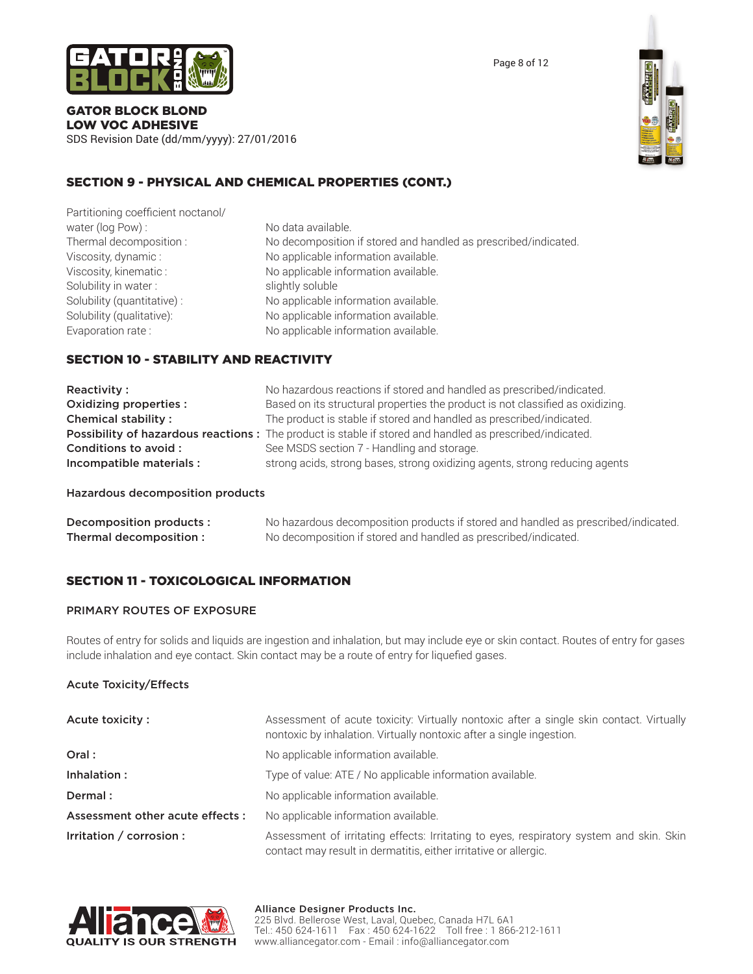

SDS Revision Date (dd/mm/yyyy): 27/01/2016



# SECTION 9 - PHYSICAL AND CHEMICAL PROPERTIES (CONT.)

Partitioning coefficient noctanol/ water (log Pow) : No data available. Solubility in water : slightly soluble

Thermal decomposition : No decomposition if stored and handled as prescribed/indicated. Viscosity, dynamic : No applicable information available. Viscosity, kinematic : No applicable information available. Solubility (quantitative) : No applicable information available. Solubility (qualitative): No applicable information available. Evaporation rate : No applicable information available.

# SECTION 10 - STABILITY AND REACTIVITY

| Reactivity:                | No hazardous reactions if stored and handled as prescribed/indicated.                                    |
|----------------------------|----------------------------------------------------------------------------------------------------------|
| Oxidizing properties :     | Based on its structural properties the product is not classified as oxidizing.                           |
| <b>Chemical stability:</b> | The product is stable if stored and handled as prescribed/indicated.                                     |
|                            | Possibility of hazardous reactions: The product is stable if stored and handled as prescribed/indicated. |
| Conditions to avoid :      | See MSDS section 7 - Handling and storage.                                                               |
| Incompatible materials :   | strong acids, strong bases, strong oxidizing agents, strong reducing agents                              |

#### Hazardous decomposition products

| Decomposition products : | No hazardous decomposition products if stored and handled as prescribed/indicated. |
|--------------------------|------------------------------------------------------------------------------------|
| Thermal decomposition :  | No decomposition if stored and handled as prescribed/indicated.                    |

# SECTION 11 - TOXICOLOGICAL INFORMATION

#### PRIMARY ROUTES OF EXPOSURE

Routes of entry for solids and liquids are ingestion and inhalation, but may include eye or skin contact. Routes of entry for gases include inhalation and eye contact. Skin contact may be a route of entry for liquefied gases.

#### Acute Toxicity/Effects

| Acute toxicity:                 | Assessment of acute toxicity: Virtually nontoxic after a single skin contact. Virtually<br>nontoxic by inhalation. Virtually nontoxic after a single ingestion. |
|---------------------------------|-----------------------------------------------------------------------------------------------------------------------------------------------------------------|
| Oral:                           | No applicable information available.                                                                                                                            |
| Inhalation :                    | Type of value: ATE / No applicable information available.                                                                                                       |
| Dermal:                         | No applicable information available.                                                                                                                            |
| Assessment other acute effects: | No applicable information available.                                                                                                                            |
| Irritation / corrosion :        | Assessment of irritating effects: Irritating to eyes, respiratory system and skin. Skin<br>contact may result in dermatitis, either irritative or allergic.     |

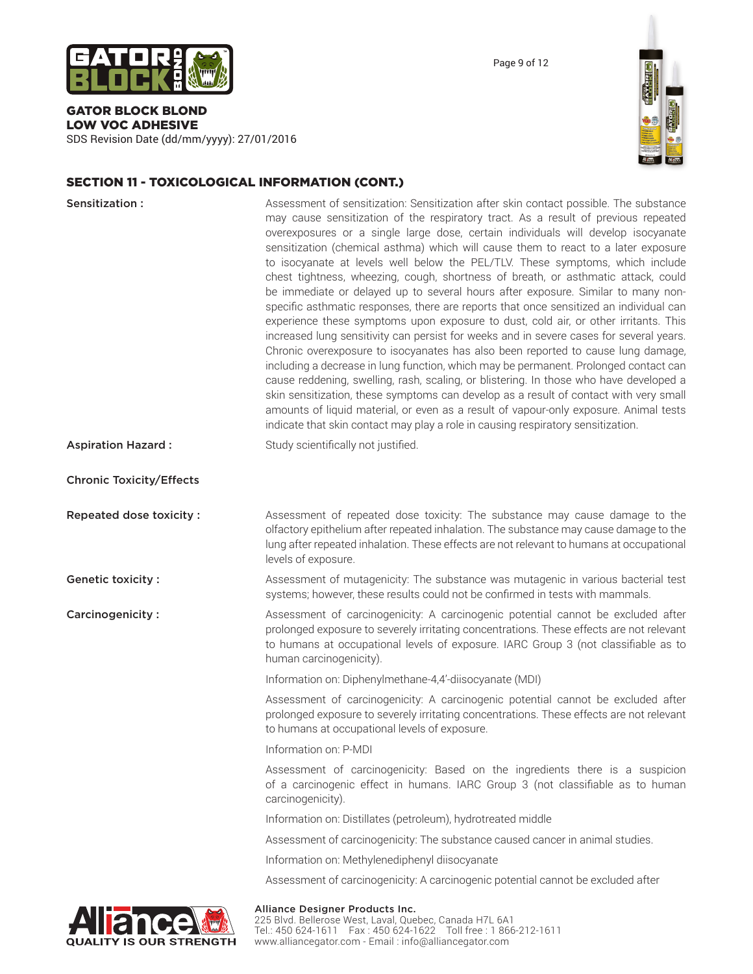

SDS Revision Date (dd/mm/yyyy): 27/01/2016



# SECTION 11 - TOXICOLOGICAL INFORMATION (CONT.)

| Sensitization:                  | Assessment of sensitization: Sensitization after skin contact possible. The substance<br>may cause sensitization of the respiratory tract. As a result of previous repeated<br>overexposures or a single large dose, certain individuals will develop isocyanate<br>sensitization (chemical asthma) which will cause them to react to a later exposure<br>to isocyanate at levels well below the PEL/TLV. These symptoms, which include<br>chest tightness, wheezing, cough, shortness of breath, or asthmatic attack, could<br>be immediate or delayed up to several hours after exposure. Similar to many non-<br>specific asthmatic responses, there are reports that once sensitized an individual can<br>experience these symptoms upon exposure to dust, cold air, or other irritants. This<br>increased lung sensitivity can persist for weeks and in severe cases for several years.<br>Chronic overexposure to isocyanates has also been reported to cause lung damage,<br>including a decrease in lung function, which may be permanent. Prolonged contact can<br>cause reddening, swelling, rash, scaling, or blistering. In those who have developed a<br>skin sensitization, these symptoms can develop as a result of contact with very small<br>amounts of liquid material, or even as a result of vapour-only exposure. Animal tests<br>indicate that skin contact may play a role in causing respiratory sensitization. |
|---------------------------------|------------------------------------------------------------------------------------------------------------------------------------------------------------------------------------------------------------------------------------------------------------------------------------------------------------------------------------------------------------------------------------------------------------------------------------------------------------------------------------------------------------------------------------------------------------------------------------------------------------------------------------------------------------------------------------------------------------------------------------------------------------------------------------------------------------------------------------------------------------------------------------------------------------------------------------------------------------------------------------------------------------------------------------------------------------------------------------------------------------------------------------------------------------------------------------------------------------------------------------------------------------------------------------------------------------------------------------------------------------------------------------------------------------------------------------------|
| <b>Aspiration Hazard:</b>       | Study scientifically not justified.                                                                                                                                                                                                                                                                                                                                                                                                                                                                                                                                                                                                                                                                                                                                                                                                                                                                                                                                                                                                                                                                                                                                                                                                                                                                                                                                                                                                      |
| <b>Chronic Toxicity/Effects</b> |                                                                                                                                                                                                                                                                                                                                                                                                                                                                                                                                                                                                                                                                                                                                                                                                                                                                                                                                                                                                                                                                                                                                                                                                                                                                                                                                                                                                                                          |
| Repeated dose toxicity:         | Assessment of repeated dose toxicity: The substance may cause damage to the<br>olfactory epithelium after repeated inhalation. The substance may cause damage to the<br>lung after repeated inhalation. These effects are not relevant to humans at occupational<br>levels of exposure.                                                                                                                                                                                                                                                                                                                                                                                                                                                                                                                                                                                                                                                                                                                                                                                                                                                                                                                                                                                                                                                                                                                                                  |
| Genetic toxicity:               | Assessment of mutagenicity: The substance was mutagenic in various bacterial test<br>systems; however, these results could not be confirmed in tests with mammals.                                                                                                                                                                                                                                                                                                                                                                                                                                                                                                                                                                                                                                                                                                                                                                                                                                                                                                                                                                                                                                                                                                                                                                                                                                                                       |
| Carcinogenicity:                | Assessment of carcinogenicity: A carcinogenic potential cannot be excluded after<br>prolonged exposure to severely irritating concentrations. These effects are not relevant<br>to humans at occupational levels of exposure. IARC Group 3 (not classifiable as to<br>human carcinogenicity).                                                                                                                                                                                                                                                                                                                                                                                                                                                                                                                                                                                                                                                                                                                                                                                                                                                                                                                                                                                                                                                                                                                                            |
|                                 | Information on: Diphenylmethane-4,4'-diisocyanate (MDI)                                                                                                                                                                                                                                                                                                                                                                                                                                                                                                                                                                                                                                                                                                                                                                                                                                                                                                                                                                                                                                                                                                                                                                                                                                                                                                                                                                                  |
|                                 | Assessment of carcinogenicity: A carcinogenic potential cannot be excluded after<br>prolonged exposure to severely irritating concentrations. These effects are not relevant<br>to humans at occupational levels of exposure.                                                                                                                                                                                                                                                                                                                                                                                                                                                                                                                                                                                                                                                                                                                                                                                                                                                                                                                                                                                                                                                                                                                                                                                                            |
|                                 | Information on: P-MDI                                                                                                                                                                                                                                                                                                                                                                                                                                                                                                                                                                                                                                                                                                                                                                                                                                                                                                                                                                                                                                                                                                                                                                                                                                                                                                                                                                                                                    |
|                                 | Assessment of carcinogenicity: Based on the ingredients there is a suspicion<br>of a carcinogenic effect in humans. IARC Group 3 (not classifiable as to human<br>carcinogenicity).                                                                                                                                                                                                                                                                                                                                                                                                                                                                                                                                                                                                                                                                                                                                                                                                                                                                                                                                                                                                                                                                                                                                                                                                                                                      |
|                                 | Information on: Distillates (petroleum), hydrotreated middle                                                                                                                                                                                                                                                                                                                                                                                                                                                                                                                                                                                                                                                                                                                                                                                                                                                                                                                                                                                                                                                                                                                                                                                                                                                                                                                                                                             |
|                                 | Assessment of carcinogenicity: The substance caused cancer in animal studies.                                                                                                                                                                                                                                                                                                                                                                                                                                                                                                                                                                                                                                                                                                                                                                                                                                                                                                                                                                                                                                                                                                                                                                                                                                                                                                                                                            |
|                                 | Information on: Methylenediphenyl diisocyanate                                                                                                                                                                                                                                                                                                                                                                                                                                                                                                                                                                                                                                                                                                                                                                                                                                                                                                                                                                                                                                                                                                                                                                                                                                                                                                                                                                                           |
|                                 | Assessment of carcinogenicity: A carcinogenic potential cannot be excluded after                                                                                                                                                                                                                                                                                                                                                                                                                                                                                                                                                                                                                                                                                                                                                                                                                                                                                                                                                                                                                                                                                                                                                                                                                                                                                                                                                         |
|                                 |                                                                                                                                                                                                                                                                                                                                                                                                                                                                                                                                                                                                                                                                                                                                                                                                                                                                                                                                                                                                                                                                                                                                                                                                                                                                                                                                                                                                                                          |



#### Alliance Designer Products Inc.

225 Blvd. Bellerose West, Laval, Quebec, Canada H7L 6A1 Tel.: 450 624-1611 Fax : 450 624-1622 Toll free : 1 866-212-1611 www.alliancegator.com - Email : info@alliancegator.com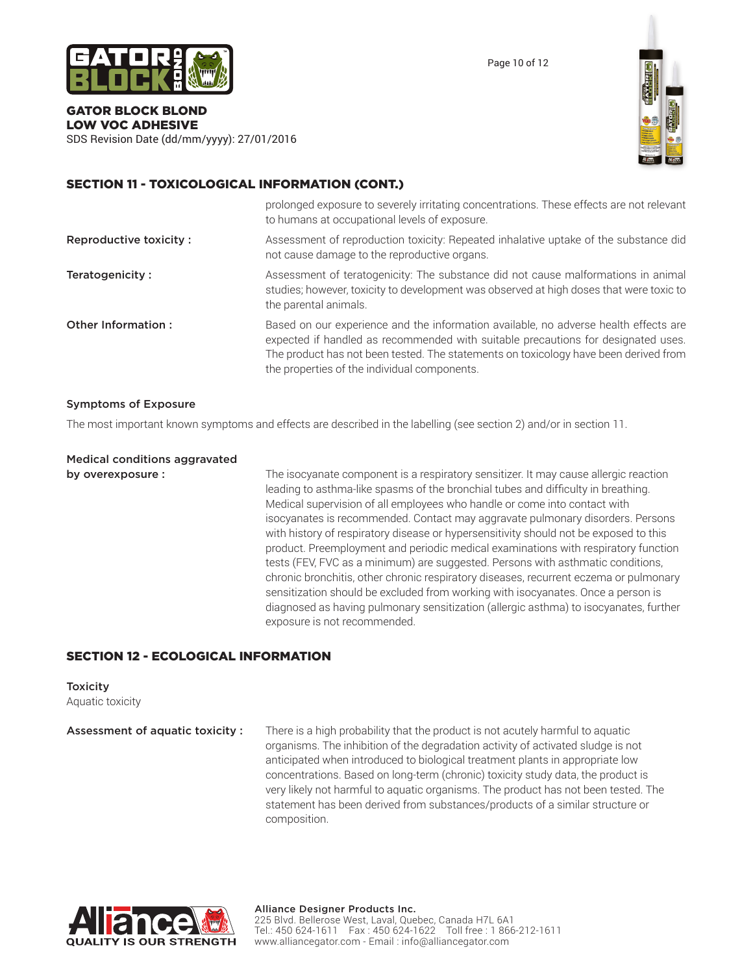

Page 10 of 12

#### GATOR BLOCK BLOND LOW VOC ADHESIVE

SDS Revision Date (dd/mm/yyyy): 27/01/2016



# SECTION 11 - TOXICOLOGICAL INFORMATION (CONT.)

|                        | prolonged exposure to severely irritating concentrations. These effects are not relevant<br>to humans at occupational levels of exposure.                                                                                                                                                                         |
|------------------------|-------------------------------------------------------------------------------------------------------------------------------------------------------------------------------------------------------------------------------------------------------------------------------------------------------------------|
| Reproductive toxicity: | Assessment of reproduction toxicity: Repeated inhalative uptake of the substance did<br>not cause damage to the reproductive organs.                                                                                                                                                                              |
| Teratogenicity:        | Assessment of teratogenicity: The substance did not cause malformations in animal<br>studies; however, toxicity to development was observed at high doses that were toxic to<br>the parental animals.                                                                                                             |
| Other Information:     | Based on our experience and the information available, no adverse health effects are<br>expected if handled as recommended with suitable precautions for designated uses.<br>The product has not been tested. The statements on toxicology have been derived from<br>the properties of the individual components. |

#### Symptoms of Exposure

The most important known symptoms and effects are described in the labelling (see section 2) and/or in section 11.

Medical conditions aggravated

**by overexposure :** The isocyanate component is a respiratory sensitizer. It may cause allergic reaction leading to asthma-like spasms of the bronchial tubes and difficulty in breathing. Medical supervision of all employees who handle or come into contact with isocyanates is recommended. Contact may aggravate pulmonary disorders. Persons with history of respiratory disease or hypersensitivity should not be exposed to this product. Preemployment and periodic medical examinations with respiratory function tests (FEV, FVC as a minimum) are suggested. Persons with asthmatic conditions, chronic bronchitis, other chronic respiratory diseases, recurrent eczema or pulmonary sensitization should be excluded from working with isocyanates. Once a person is diagnosed as having pulmonary sensitization (allergic asthma) to isocyanates, further exposure is not recommended.

# SECTION 12 - ECOLOGICAL INFORMATION

**Toxicity** Aquatic toxicity

Assessment of aquatic toxicity : There is a high probability that the product is not acutely harmful to aquatic organisms. The inhibition of the degradation activity of activated sludge is not anticipated when introduced to biological treatment plants in appropriate low concentrations. Based on long-term (chronic) toxicity study data, the product is very likely not harmful to aquatic organisms. The product has not been tested. The statement has been derived from substances/products of a similar structure or composition.

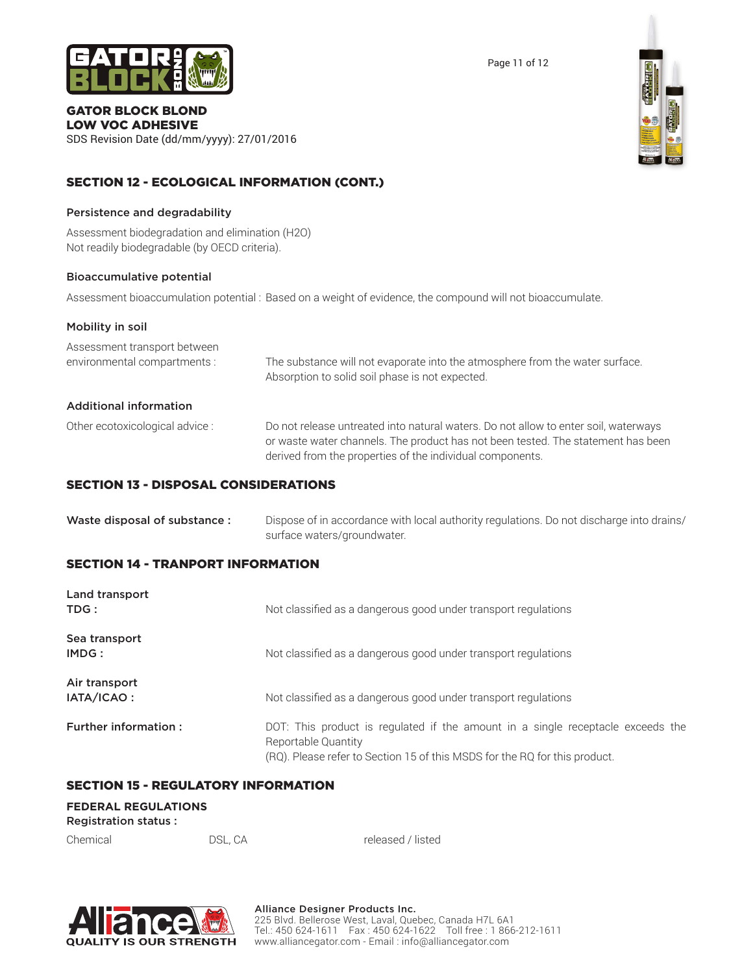

SDS Revision Date (dd/mm/yyyy): 27/01/2016



# SECTION 12 - ECOLOGICAL INFORMATION (CONT.)

#### Persistence and degradability

Assessment biodegradation and elimination (H2O) Not readily biodegradable (by OECD criteria).

#### Bioaccumulative potential

Assessment bioaccumulation potential : Based on a weight of evidence, the compound will not bioaccumulate.

| Mobility in soil                                             |                                                                                                                                                                                                                                      |
|--------------------------------------------------------------|--------------------------------------------------------------------------------------------------------------------------------------------------------------------------------------------------------------------------------------|
| Assessment transport between<br>environmental compartments : | The substance will not evaporate into the atmosphere from the water surface.<br>Absorption to solid soil phase is not expected.                                                                                                      |
| <b>Additional information</b>                                |                                                                                                                                                                                                                                      |
| Other ecotoxicological advice :                              | Do not release untreated into natural waters. Do not allow to enter soil, waterways<br>or waste water channels. The product has not been tested. The statement has been<br>derived from the properties of the individual components. |

# SECTION 13 - DISPOSAL CONSIDERATIONS

| Waste disposal of substance : | Dispose of in accordance with local authority regulations. Do not discharge into drains/ |
|-------------------------------|------------------------------------------------------------------------------------------|
|                               | surface waters/groundwater.                                                              |

# SECTION 14 - TRANPORT INFORMATION

| Land transport<br>TDG:      | Not classified as a dangerous good under transport regulations                                                                                                                       |
|-----------------------------|--------------------------------------------------------------------------------------------------------------------------------------------------------------------------------------|
| Sea transport<br>IMDG:      | Not classified as a dangerous good under transport regulations                                                                                                                       |
| Air transport<br>IATA/ICAO: | Not classified as a dangerous good under transport regulations                                                                                                                       |
| <b>Further information:</b> | DOT: This product is regulated if the amount in a single receptacle exceeds the<br>Reportable Quantity<br>(RQ). Please refer to Section 15 of this MSDS for the RQ for this product. |

# SECTION 15 - REGULATORY INFORMATION

#### **FEDERAL REGULATIONS**

Registration status :

Chemical DSL, CA released / listed